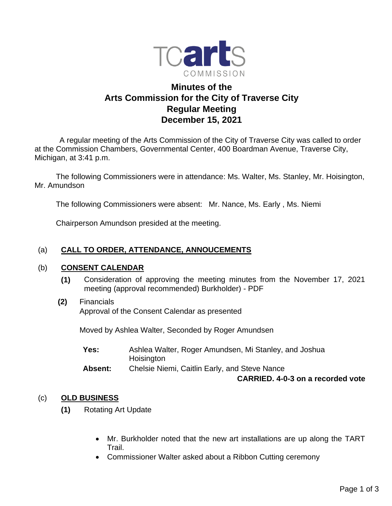

# **Minutes of the Arts Commission for the City of Traverse City Regular Meeting December 15, 2021**

 A regular meeting of the Arts Commission of the City of Traverse City was called to order at the Commission Chambers, Governmental Center, 400 Boardman Avenue, Traverse City, Michigan, at 3:41 p.m.

The following Commissioners were in attendance: Ms. Walter, Ms. Stanley, Mr. Hoisington, Mr. Amundson

The following Commissioners were absent: Mr. Nance, Ms. Early , Ms. Niemi

Chairperson Amundson presided at the meeting.

## (a) **CALL TO ORDER, ATTENDANCE, ANNOUCEMENTS**

#### (b) **CONSENT CALENDAR**

- **(1)** Consideration of approving the meeting minutes from the November 17, 2021 meeting (approval recommended) Burkholder) - PDF
- **(2)** Financials Approval of the Consent Calendar as presented

Moved by Ashlea Walter, Seconded by Roger Amundsen

**Yes:** Ashlea Walter, Roger Amundsen, Mi Stanley, and Joshua **Hoisington Absent:** Chelsie Niemi, Caitlin Early, and Steve Nance

### **CARRIED. 4-0-3 on a recorded vote**

### (c) **OLD BUSINESS**

- **(1)** Rotating Art Update
	- Mr. Burkholder noted that the new art installations are up along the TART Trail.
	- Commissioner Walter asked about a Ribbon Cutting ceremony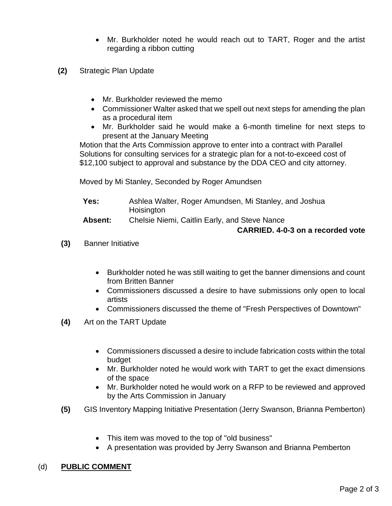- Mr. Burkholder noted he would reach out to TART, Roger and the artist regarding a ribbon cutting
- **(2)** Strategic Plan Update
	- Mr. Burkholder reviewed the memo
	- Commissioner Walter asked that we spell out next steps for amending the plan as a procedural item
	- Mr. Burkholder said he would make a 6-month timeline for next steps to present at the January Meeting

Motion that the Arts Commission approve to enter into a contract with Parallel Solutions for consulting services for a strategic plan for a not-to-exceed cost of \$12,100 subject to approval and substance by the DDA CEO and city attorney.

Moved by Mi Stanley, Seconded by Roger Amundsen

| Yes:            | Ashlea Walter, Roger Amundsen, Mi Stanley, and Joshua<br>Hoisington                             |
|-----------------|-------------------------------------------------------------------------------------------------|
|                 |                                                                                                 |
| <b>ALC</b> 2005 | $\bigcap$ in the MP and $\bigcap$ and $\bigcap$ in the set of $\bigcap$ in the MP and $\bigcap$ |

**Absent:** Chelsie Niemi, Caitlin Early, and Steve Nance

#### **CARRIED. 4-0-3 on a recorded vote**

- **(3)** Banner Initiative
	- Burkholder noted he was still waiting to get the banner dimensions and count from Britten Banner
	- Commissioners discussed a desire to have submissions only open to local artists
	- Commissioners discussed the theme of "Fresh Perspectives of Downtown"
- **(4)** Art on the TART Update
	- Commissioners discussed a desire to include fabrication costs within the total budget
	- Mr. Burkholder noted he would work with TART to get the exact dimensions of the space
	- Mr. Burkholder noted he would work on a RFP to be reviewed and approved by the Arts Commission in January
- **(5)** GIS Inventory Mapping Initiative Presentation (Jerry Swanson, Brianna Pemberton)
	- This item was moved to the top of "old business"
	- A presentation was provided by Jerry Swanson and Brianna Pemberton

# (d) **PUBLIC COMMENT**